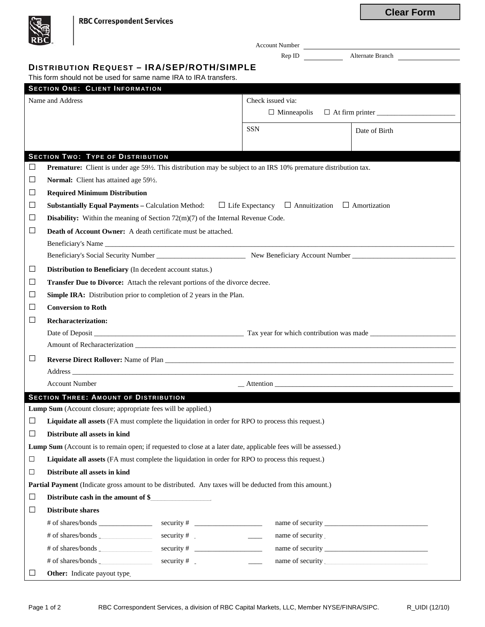| <b>RBC</b>       |                                                                                                                                                                                                                                |                                                   | Account Number                                                                                                   |  |  |  |  |
|------------------|--------------------------------------------------------------------------------------------------------------------------------------------------------------------------------------------------------------------------------|---------------------------------------------------|------------------------------------------------------------------------------------------------------------------|--|--|--|--|
|                  |                                                                                                                                                                                                                                |                                                   | Rep ID Alternate Branch                                                                                          |  |  |  |  |
|                  | <b>DISTRIBUTION REQUEST - IRA/SEP/ROTH/SIMPLE</b>                                                                                                                                                                              |                                                   |                                                                                                                  |  |  |  |  |
|                  | This form should not be used for same name IRA to IRA transfers.                                                                                                                                                               |                                                   |                                                                                                                  |  |  |  |  |
|                  | <b>SECTION ONE: CLIENT INFORMATION</b><br>Name and Address                                                                                                                                                                     | Check issued via:                                 |                                                                                                                  |  |  |  |  |
|                  |                                                                                                                                                                                                                                | $\Box$ Minneapolis                                | $\Box$ At firm printer $\Box$                                                                                    |  |  |  |  |
|                  |                                                                                                                                                                                                                                |                                                   |                                                                                                                  |  |  |  |  |
|                  |                                                                                                                                                                                                                                | <b>SSN</b>                                        | Date of Birth                                                                                                    |  |  |  |  |
|                  |                                                                                                                                                                                                                                |                                                   |                                                                                                                  |  |  |  |  |
|                  | <b>SECTION TWO: TYPE OF DISTRIBUTION</b>                                                                                                                                                                                       |                                                   |                                                                                                                  |  |  |  |  |
| $\Box$           | Premature: Client is under age 59½. This distribution may be subject to an IRS 10% premature distribution tax.                                                                                                                 |                                                   |                                                                                                                  |  |  |  |  |
| $\Box$           | Normal: Client has attained age 591/2.                                                                                                                                                                                         |                                                   |                                                                                                                  |  |  |  |  |
| □                | <b>Required Minimum Distribution</b>                                                                                                                                                                                           |                                                   |                                                                                                                  |  |  |  |  |
| $\Box$<br>$\Box$ | <b>Substantially Equal Payments – Calculation Method:</b> $\Box$ Life Expectancy $\Box$ Annuitization $\Box$ Amortization                                                                                                      |                                                   |                                                                                                                  |  |  |  |  |
| □                | <b>Disability:</b> Within the meaning of Section $72(m)(7)$ of the Internal Revenue Code.                                                                                                                                      |                                                   |                                                                                                                  |  |  |  |  |
|                  | Death of Account Owner: A death certificate must be attached.                                                                                                                                                                  |                                                   |                                                                                                                  |  |  |  |  |
|                  |                                                                                                                                                                                                                                |                                                   |                                                                                                                  |  |  |  |  |
| $\Box$           | Distribution to Beneficiary (In decedent account status.)                                                                                                                                                                      |                                                   |                                                                                                                  |  |  |  |  |
| $\Box$           |                                                                                                                                                                                                                                |                                                   |                                                                                                                  |  |  |  |  |
| ப                | Transfer Due to Divorce: Attach the relevant portions of the divorce decree.<br>Simple IRA: Distribution prior to completion of 2 years in the Plan.                                                                           |                                                   |                                                                                                                  |  |  |  |  |
| $\Box$           | <b>Conversion to Roth</b>                                                                                                                                                                                                      |                                                   |                                                                                                                  |  |  |  |  |
| $\Box$           | <b>Recharacterization:</b>                                                                                                                                                                                                     |                                                   |                                                                                                                  |  |  |  |  |
|                  |                                                                                                                                                                                                                                |                                                   |                                                                                                                  |  |  |  |  |
|                  |                                                                                                                                                                                                                                |                                                   |                                                                                                                  |  |  |  |  |
| $\Box$           |                                                                                                                                                                                                                                |                                                   |                                                                                                                  |  |  |  |  |
|                  | Address and the contract of the contract of the contract of the contract of the contract of the contract of the contract of the contract of the contract of the contract of the contract of the contract of the contract of th |                                                   | and the control of the control of the control of the control of the control of the control of the control of the |  |  |  |  |
|                  | <b>Account Number</b>                                                                                                                                                                                                          |                                                   | Attention Attention                                                                                              |  |  |  |  |
|                  | <b>SECTION THREE: AMOUNT OF DISTRIBUTION</b>                                                                                                                                                                                   |                                                   |                                                                                                                  |  |  |  |  |
|                  | Lump Sum (Account closure; appropriate fees will be applied.)                                                                                                                                                                  |                                                   |                                                                                                                  |  |  |  |  |
| $\Box$           | Liquidate all assets (FA must complete the liquidation in order for RPO to process this request.)                                                                                                                              |                                                   |                                                                                                                  |  |  |  |  |
| □                | Distribute all assets in kind                                                                                                                                                                                                  |                                                   |                                                                                                                  |  |  |  |  |
|                  | Lump Sum (Account is to remain open; if requested to close at a later date, applicable fees will be assessed.)                                                                                                                 |                                                   |                                                                                                                  |  |  |  |  |
| $\Box$           | Liquidate all assets (FA must complete the liquidation in order for RPO to process this request.)                                                                                                                              |                                                   |                                                                                                                  |  |  |  |  |
| $\Box$           | Distribute all assets in kind                                                                                                                                                                                                  |                                                   |                                                                                                                  |  |  |  |  |
|                  | Partial Payment (Indicate gross amount to be distributed. Any taxes will be deducted from this amount.)                                                                                                                        |                                                   |                                                                                                                  |  |  |  |  |
| $\Box$           | Distribute cash in the amount of \$                                                                                                                                                                                            |                                                   |                                                                                                                  |  |  |  |  |
| $\Box$           | <b>Distribute shares</b>                                                                                                                                                                                                       |                                                   |                                                                                                                  |  |  |  |  |
|                  |                                                                                                                                                                                                                                |                                                   |                                                                                                                  |  |  |  |  |
|                  |                                                                                                                                                                                                                                | name of security<br><u> 1989 - Jan Barnett, p</u> |                                                                                                                  |  |  |  |  |
|                  | # of shares/bonds                                                                                                                                                                                                              |                                                   |                                                                                                                  |  |  |  |  |
|                  | # of shares/bonds _<br>security $#$                                                                                                                                                                                            |                                                   |                                                                                                                  |  |  |  |  |
| ப                | <b>Other:</b> Indicate payout type                                                                                                                                                                                             |                                                   |                                                                                                                  |  |  |  |  |